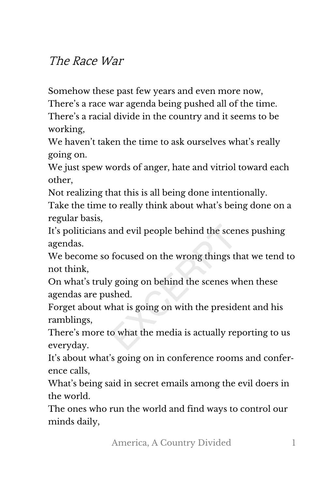## The Race War

Somehow these past few years and even more now,

There's a race war agenda being pushed all of the time. There's a racial divide in the country and it seems to be working,

We haven't taken the time to ask ourselves what's really going on.

We just spew words of anger, hate and vitriol toward each other,

Not realizing that this is all being done intentionally.

Take the time to really think about what's being done on a regular basis,

It's politicians and evil people behind the scenes pushing agendas.

We become so focused on the wrong things that we tend to not think,

On what's truly going on behind the scenes when these agendas are pushed.

Forget about what is going on with the president and his ramblings,

There's more to what the media is actually reporting to us everyday.

It's about what's going on in conference rooms and confer‐ ence calls,

What's being said in secret emails among the evil doers in the world.

The ones who run the world and find ways to control our minds daily,

America, A Country Divided 1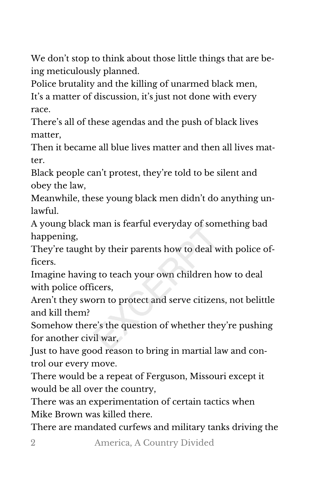We don't stop to think about those little things that are being meticulously planned.

Police brutality and the killing of unarmed black men, It's a matter of discussion, it's just not done with every race.

There's all of these agendas and the push of black lives matter,

Then it became all blue lives matter and then all lives matter.

Black people can't protest, they're told to be silent and obey the law,

Meanwhile, these young black men didn't do anything un‐ lawful.

A young black man is fearful everyday of something bad happening,

They're taught by their parents how to deal with police of‐ ficers.

Imagine having to teach your own children how to deal with police officers,

Aren't they sworn to protect and serve citizens, not belittle and kill them?

Somehow there's the question of whether they're pushing for another civil war,

Just to have good reason to bring in martial law and con‐ trol our every move.

There would be a repeat of Ferguson, Missouri except it would be all over the country,

There was an experimentation of certain tactics when Mike Brown was killed there.

There are mandated curfews and military tanks driving the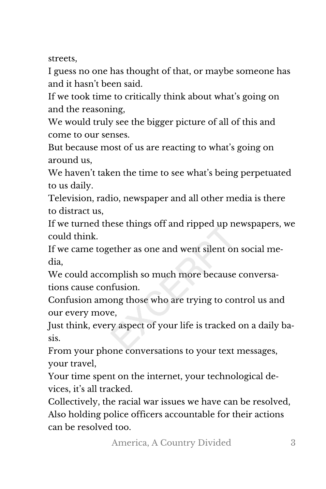streets,

I guess no one has thought of that, or maybe someone has and it hasn't been said.

If we took time to critically think about what's going on and the reasoning,

We would truly see the bigger picture of all of this and come to our senses.

But because most of us are reacting to what's going on around us,

We haven't taken the time to see what's being perpetuated to us daily.

Television, radio, newspaper and all other media is there to distract us,

If we turned these things off and ripped up newspapers, we could think.

If we came together as one and went silent on social me‐ dia,

We could accomplish so much more because conversations cause confusion.

Confusion among those who are trying to control us and our every move,

Just think, every aspect of your life is tracked on a daily ba‐ sis.

From your phone conversations to your text messages, your travel,

Your time spent on the internet, your technological de‐ vices, it's all tracked.

Collectively, the racial war issues we have can be resolved, Also holding police officers accountable for their actions can be resolved too.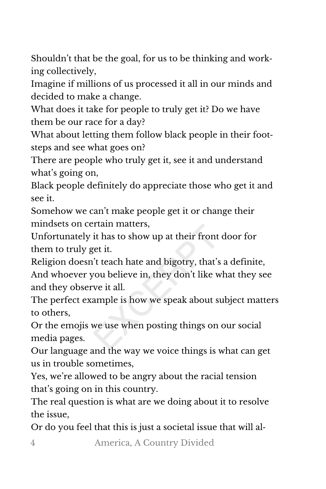Shouldn't that be the goal, for us to be thinking and work‐ ing collectively,

Imagine if millions of us processed it all in our minds and decided to make a change.

What does it take for people to truly get it? Do we have them be our race for a day?

What about letting them follow black people in their footsteps and see what goes on?

There are people who truly get it, see it and understand what's going on,

Black people definitely do appreciate those who get it and see it.

Somehow we can't make people get it or change their mindsets on certain matters,

Unfortunately it has to show up at their front door for them to truly get it.

Religion doesn't teach hate and bigotry, that's a definite, And whoever you believe in, they don't like what they see and they observe it all.

The perfect example is how we speak about subject matters to others,

Or the emojis we use when posting things on our social media pages.

Our language and the way we voice things is what can get us in trouble sometimes,

Yes, we're allowed to be angry about the racial tension that's going on in this country.

The real question is what are we doing about it to resolve the issue,

Or do you feel that this is just a societal issue that will al‐

4 America, A Country Divided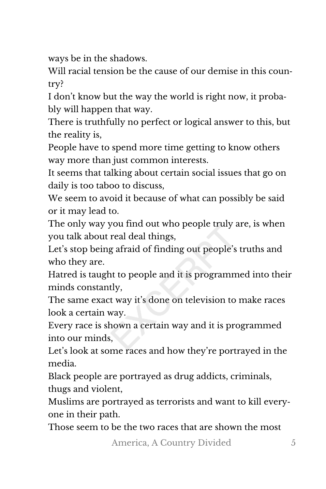ways be in the shadows.

Will racial tension be the cause of our demise in this country?

I don't know but the way the world is right now, it proba‐ bly will happen that way.

There is truthfully no perfect or logical answer to this, but the reality is,

People have to spend more time getting to know others way more than just common interests.

It seems that talking about certain social issues that go on daily is too taboo to discuss,

We seem to avoid it because of what can possibly be said or it may lead to.

The only way you find out who people truly are, is when you talk about real deal things,

Let's stop being afraid of finding out people's truths and who they are.

Hatred is taught to people and it is programmed into their minds constantly,

The same exact way it's done on television to make races look a certain way.

Every race is shown a certain way and it is programmed into our minds,

Let's look at some races and how they're portrayed in the media.

Black people are portrayed as drug addicts, criminals, thugs and violent,

Muslims are portrayed as terrorists and want to kill every‐ one in their path.

Those seem to be the two races that are shown the most